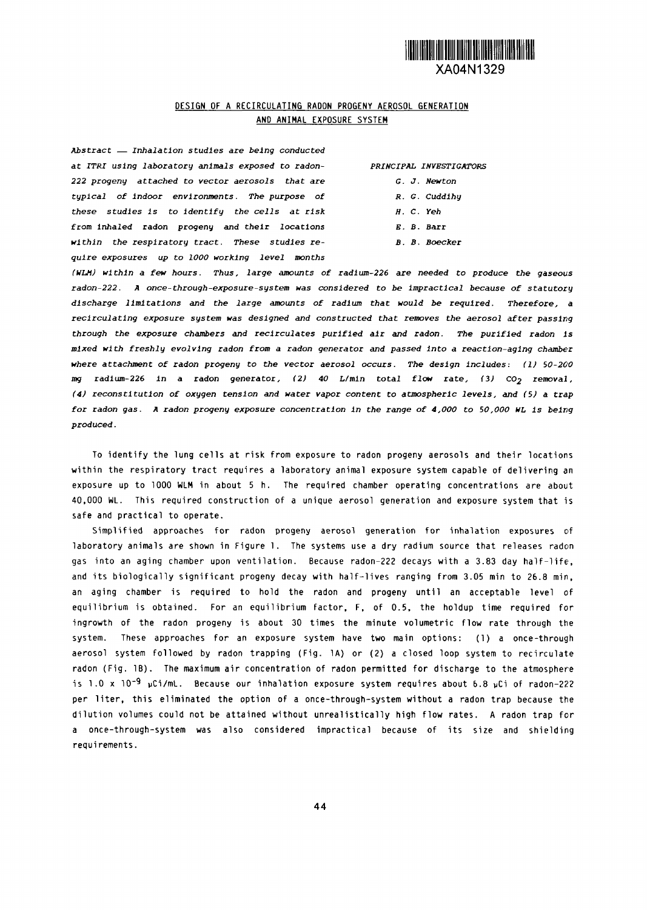

## DESIGN OF A RECIRCULATING RADON PROGENY AEROSOL GENERATION **AND ANIMAL** EXPOSURE SYSTEM

*Abstract - Inhalation studies are being conducted at ITR\_r using laboratory animals exposed to radon- PRINCIPAL INVESTIGATORS 222 progeny attached to vector aerosols* **that are** *G. J Newton* **typical** *of indoor environments. The purpose of R. G. Cuddihy these studies is to* **identify** *the cells at risk H. C. Yeh* **from inhaled radon progeny and their locations** *E. B.* **Barr** *within the respiratory tract. These studies re- B. B. Boecker quire exposures up to 1000 working level months*

| G. J. Newto |
|-------------|
|-------------|

- 
- 
- 
- 

*(kILJI) within a few hours. Thus, large amounts of radium-226* are **needed** *to produce the gaseous radon-222. A once-through-exposure-system was considered to be Impractical because of statutory discharge limitations* **and the** *large amounts of radium that would be required. Therefore, a recirculating exposure system was designed and constructed that removes the aerosol after passing through the exposure chambers* **and recirculates purified** *air and radon. The purified radon is mixed with freshly evolving radon from a radon generator and passed Into a reaction-aging chamber where attachment of radon progeny* **to** *the vector aerosol occurs. The design includes:* **(1) 50-2610 mg radium-226 in a radon generator, (2) 40 L/min total flow rate,** (3) **C02 removal,** (4) reconstitution of oxygen tension and water vapor content to atmospheric levels, and (5) a trap *for radon gas. A radon progeny exposure concentration In the range of 4000 to 50,000 WL is being produced.*

To identify the lung cells at risk from exposure to radon progeny aerosols and their locations within the respiratory tract requires a laboratory animal exposure system capable of delivering an exposure up to 1000 WLM in about 5 h. The required chamber operating concentrations are about 40,000 WL. This required construction of a unique aerosol generation and exposure system that is safe and practical to operate.

Simplified approaches for radon progeny aerosol generation for inhalation exposures of laboratory animals are shown in Figure 1. The systems use a dry radium source that releases radon gas into an aging chamber upon ventilation. Because radon-222 decays with a 383 day half-life, and its biologically significant progeny decay with half-lives ranging from 305 min to 26.8 min, an aging chamber is required to hold the radon and progeny until an acceptable level of equilibrium is obtained. For an equilibrium factor, F, of 0.5, the holdup time required for ingrowth of the radon progeny is about 30 times the minute volumetric flow rate through the system. These approaches for an exposure system have two main options: (1) a once-through aerosol system followed by radon trapping (Fig. 1A) or (2) a closed loop system to recirculate radon (Fig. 1B). The maximum air concentration of radon permitted for discharge to the atmosphere is 1.0 x 10<sup>-9</sup> µCi/mL. Because our inhalation exposure system requires about 6.8 µCi of radon-222 per liter, this eliminated the option of a once-through-system without a radon trap because the dilution volumes could not be attained without unrealistically high flow rates. A radon trap for a once-through-system was also considered impractical because of its size and shielding requirements.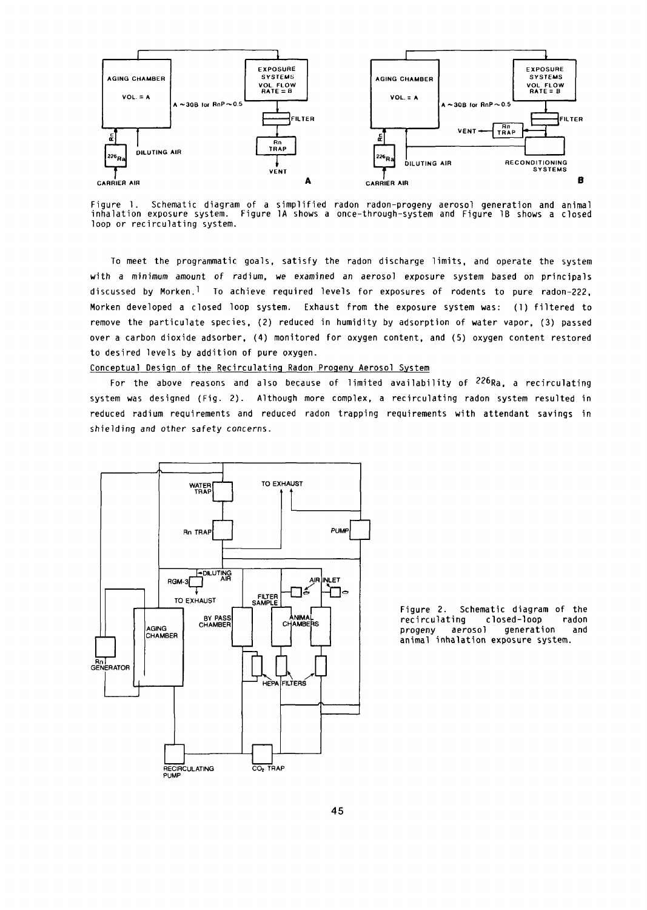

Figure 1. Schematic diagram of a simplified radon radon-progeny aerosol generation and anima inhalation exposure system. Figure 1A shows a once-through-system and Figure IB shows a closed loop or recirculating system.

To meet the programmatic goals, satisfy the radon discharge limits, and operate the system with a minimum amount of radium, *we* examined an aerosol exposure system based on principals discussed by Morken.<sup>1</sup> To achieve required levels for exposures of rodents to pure radon-222, Morken developed a closed loop system. Exhaust from the exposure system was: (1) filtered to remove the particulate species, (2) reduced in humidity by adsorption of water vapor, (3) passed over a carbon dioxide adsorber, (4) monitored for oxygen content, and (5) oxygen content restored to desired levels by addition of pure oxygen.

Conceptual Design of the Recirculating Radon Progeny Aerosol System

For the above reasons and also because of limited availability of  $^{226}$ Ra, a recirculating system was designed (Fig. 2). Although more complex, a recirculating radon system resulted in reduced radium requirements and reduced radon trapping requirements with attendant savings in shielding and other safety concerns.



animal inhalation exposure system.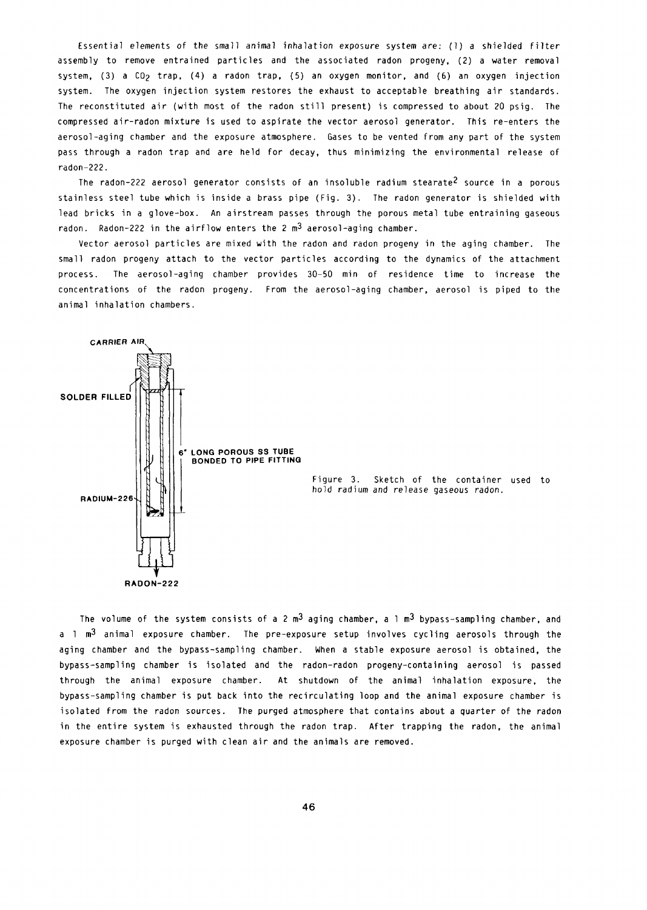Essential elements of the small animal inhalation exposure system are: (1) a shielded filter assembly to remove entrained particles and the associated radon progeny, (2) a water removal system, (3) a CO<sub>2</sub> trap, (4) a radon trap, (5) an oxygen monitor, and (6) an oxygen injection system. The oxygen injection system restores the exhaust to acceptable breathing air standards. The reconstituted air (with most of the radon still present) is compressed to about 20 psig. The compressed air-radon mixture is used to aspirate the vector aerosol generator. This re-enters the aerosol-aging chamber and the exposure atmosphere. Gases to be vented from any part of the system pass through a radon trap and are held for decay, thus minimizing the environmental release of radon-222.

The radon-222 aerosol generator consists of an insoluble radium stearate2 source in a porous stainless steel tube which is inside a brass pipe (Fig. 3). The radon generator is shielded with lead bricks in a glove-box. An airstream passes through the porous metal tube entraining gaseous radon. Radon-222 in the airflow enters the 2  $m<sup>3</sup>$  aerosol-aging chamber.

Vector aerosol particles are mixed with the radon and radon progeny in the aging chamber. The small radon progeny attach to the vector particles according to the dynamics of the attachment process. The aerosol-aging chamber provides 30-50 min of residence time to increase the concentrations of the radon progeny. From the aerosol-aging chamber, aerosol is piped to the animal inhalation chambers.



The volume of the system consists of a 2  $m<sup>3</sup>$  aging chamber, a 1  $m<sup>3</sup>$  bypass-sampling chamber, and a 1  $m<sup>3</sup>$  animal exposure chamber. The pre-exposure setup involves cycling aerosols through the aging chamber and the bypass-sampling chamber. When a stable exposure aerosol is obtained, the bypass-sampling chamber is isolated and the radon-radon progeny-containing aerosol is passed through the animal exposure chamber. At shutdown of the animal inhalation exposure, the bypass-sampling chamber is put back into the recirculating loop and the animal exposure chamber is isolated from the radon sources. The purged atmosphere that contains about a quarter of the radon in the entire system is exhausted through the radon trap. After trapping the radon, the animal exposure chamber is purged with clean air and the animals are removed.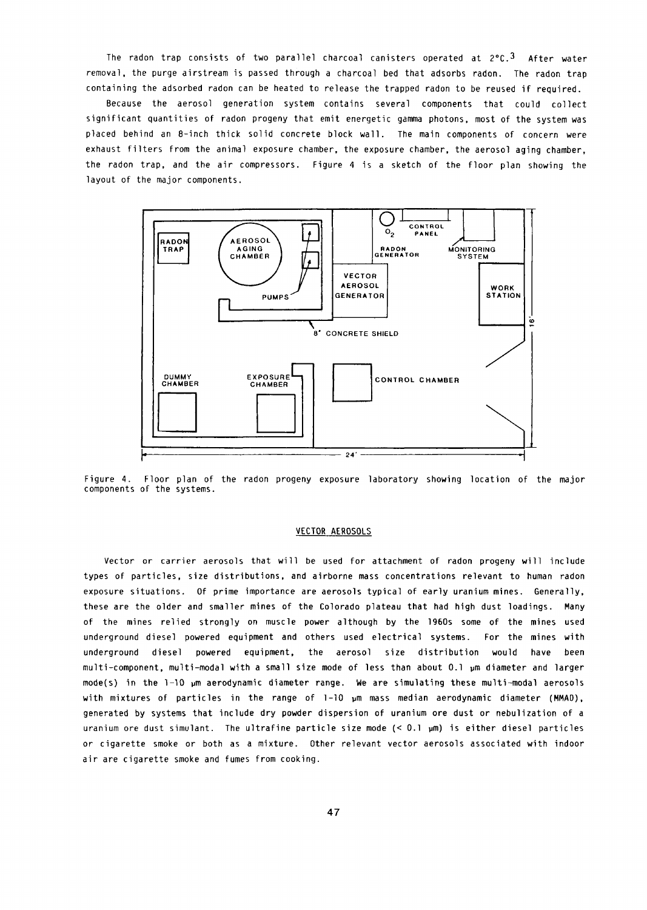The radon trap consists of two parallel charcoal canisters operated at  $2^{\circ}$ C.<sup>3</sup> After water removal, the purge airstream is passed through a charcoal bed that adsorbs radon. The radon trap containing the adsorbed radon can be heated to release the trapped radon to be reused if required.

Because the aerosol generation system contains several components that could collect significant quantities of radon progeny that emit energetic gamma photons, most of the system was placed behind an 8-inch thick solid concrete block wall. The main components of concern were exhaust filters from the animal exposure chamber, the exposure chamber, the aerosol aging chamber, the radon trap, and the air compressors. Figure 4 is a sketch of the floor plan showing the layout of the major components.



Figure 4. Floor plan of the radon progeny exposure laboratory showing location of the major components of the systems.

## VECTOR AEROSOLS

Vector or carrier aerosols that will be used for attachment of radon progeny will include types of particles, size distributions, and airborne mass concentrations relevant to human radon exposure situations. of prime importance are aerosols typical of early uranium mines. Generally, these are the older and smaller mines of the Colorado plateau that had high dust loadings. Many of the mines relied strongly on muscle power although by the 1960s some of the mines used underground diesel powered equipment and others used electrical systems. For the mines with underground diesel powered equipment, the aerosol size distribution would have been multi-component, multi-modal with a small size mode of less than about 0.1 pm diameter and larger mode(s) in the 1-10 um aerodynamic diameter range. We are simulating these multi-modal aerosols with mixtures of particles in the range of  $1-10$   $\mu$ m mass median aerodynamic diameter (MMAD), generated by systems that include dry powder dispersion of uranium ore dust or nebulization of a uranium ore dust simulant. The ultrafine particle size mode (< 0.1 µm) is either diesel particles or cigarette smoke or both as a mixture. Other relevant vector aerosols associated with indoor air are cigarette smoke and fumes from cooking.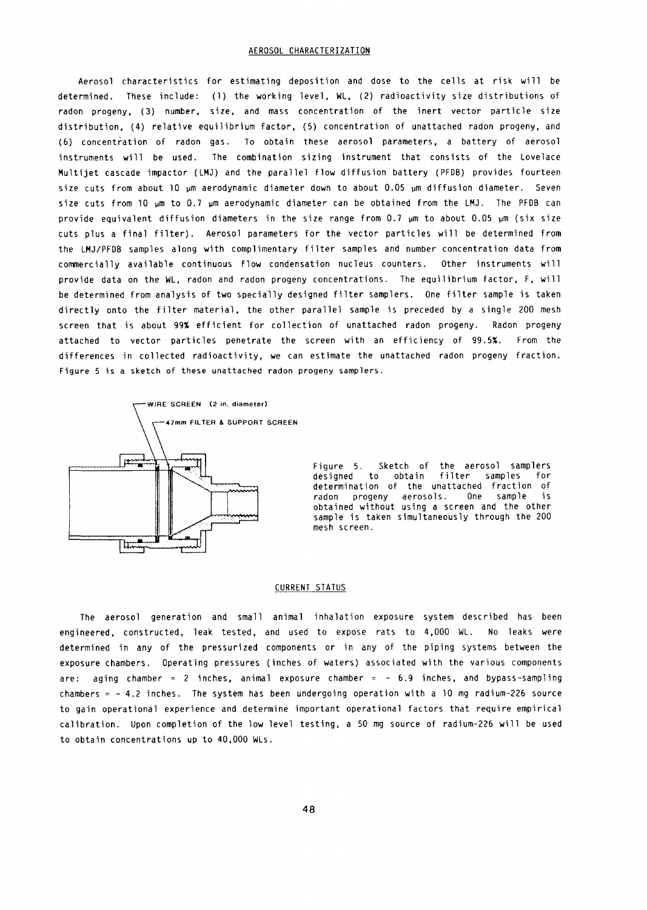Aerosol characteristics for estimating deposition and dose to the cells at risk will be determined. These include: (1) the working level, WL, (2) radioactivity size distributions of radon progeny, (3) number, size, and mass concentration of the inert vector particle size distribution, (4) relative equilibrium factor, (5) concentration of unattached radon progeny, and (6) concentration of radon gas. To obtain these aerosol parameters, a battery of aerosol instruments will be used. The combination sizing instrument that consists of the Lovelace Multijet cascade impactor (LMJ) and the parallel flow diffusion battery (PFDB) provides fourteen size cuts from about 10 µm aerodynamic diameter down to about 0.05 µm diffusion diameter. Seven size cuts from 10 pm to 0.7 pm aerodynamic diameter can be obtained from the LMJ. The PFDB can provide equivalent diffusion diameters in the size range from 0.7  $µ$ m to about 0.05  $µ$ m (six size cuts plus a final filter). Aerosol parameters for the vector particles will be determined from the LMJ/PFDB samples along with complimentary filter samples and number concentration data from commercially available continuous flow condensation nucleus counters. Other instruments will provide data on the WL, radon and radon progeny concentrations. The equilibrium factor, F, will be determined from analysis of two specially designed filter samplers. One filter sample is taken directly onto the filter material, the other parallel sample is preceded by a single 200 mesh screen that is about 99% efficient for collection of unattached radon progeny. Radon progeny attached to vector particles penetrate the screen with an efficiency of 99.5%. From the differences in collected radioactivity, we can estimate the unattached radon progeny fraction. Figure 5 is a sketch of these unattached radon progeny samplers.



Figure 5. Sketch of the aerosol samplers designed to obtain filter samples for designed to obtain filter samples for<br>determination of the unattached fraction of radon progeny aerosols. One sample is obtained without using a screen and the other sample is taken simultaneously through the 200 mesh screen.

## CURRENT STATUS

The aerosol generation and small animal inhalation exposure system described has been engineered, constructed, leak tested, and used to expose rats to 4,000 WL. No leaks were determined in any of the pressurized components or in any of the piping systems between the exposure chambers. Operating pressures (inches of waters) associated with the various components are: aging chamber = 2 inches, animal exposure chamber =  $-6.9$  inches, and bypass-sampling chambers  $= -4.2$  inches. The system has been undergoing operation with a 10 mg radium-226 source to gain operational experience and determine important operational factors that require empirical calibration. Upon completion of the low level testing, a 50 mg source of radium-226 will be used to obtain concentrations up to 40,000 WLs.